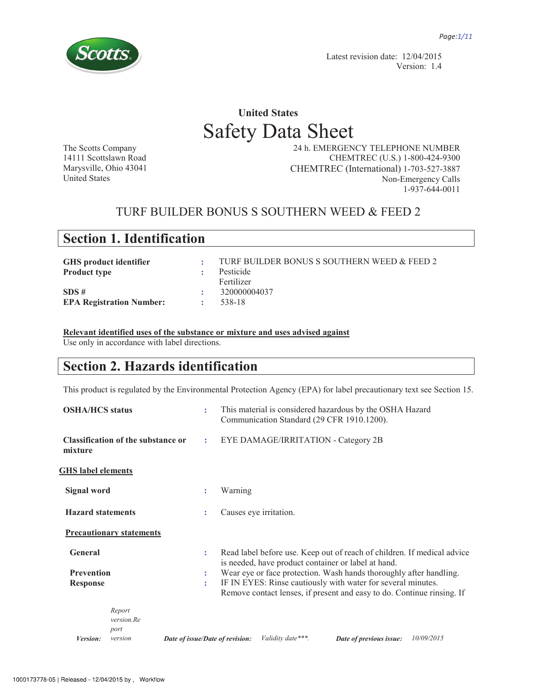

Latest revision date: 12/04/2015 Version: 1.4

# **United States**  Safety Data Sheet

The Scotts Company 14111 Scottslawn Road Marysville, Ohio 43041 United States

 24 h. EMERGENCY TELEPHONE NUMBER CHEMTREC (U.S.) 1-800-424-9300 CHEMTREC (International) 1-703-527-3887 Non-Emergency Calls 1-937-644-0011

### TURF BUILDER BONUS S SOUTHERN WEED & FEED 2

|  | <b>Section 1. Identification</b> |
|--|----------------------------------|
|  |                                  |

| <b>GHS</b> product identifier   | TURF BUILDER BONUS S SOUTHERN WEED & FEED 2 |
|---------------------------------|---------------------------------------------|
| <b>Product type</b>             | Pesticide                                   |
|                                 | Fertilizer                                  |
| SDS#                            | 320000004037                                |
| <b>EPA Registration Number:</b> | 538-18                                      |
|                                 |                                             |

**Relevant identified uses of the substance or mixture and uses advised against** Use only in accordance with label directions.

### **Section 2. Hazards identification**

This product is regulated by the Environmental Protection Agency (EPA) for label precautionary text see Section 15.

| <b>OSHA/HCS</b> status    |                                    | ÷                               | This material is considered hazardous by the OSHA Hazard<br>Communication Standard (29 CFR 1910.1200).                                 |
|---------------------------|------------------------------------|---------------------------------|----------------------------------------------------------------------------------------------------------------------------------------|
| mixture                   | Classification of the substance or | ÷                               | EYE DAMAGE/IRRITATION - Category 2B                                                                                                    |
| <b>GHS</b> label elements |                                    |                                 |                                                                                                                                        |
| <b>Signal word</b>        |                                    | ÷                               | Warning                                                                                                                                |
| <b>Hazard statements</b>  |                                    | ÷                               | Causes eye irritation.                                                                                                                 |
|                           | <b>Precautionary statements</b>    |                                 |                                                                                                                                        |
| General                   |                                    | ÷                               | Read label before use. Keep out of reach of children. If medical advice<br>is needed, have product container or label at hand.         |
| <b>Prevention</b>         |                                    | ÷                               | Wear eye or face protection. Wash hands thoroughly after handling.                                                                     |
| <b>Response</b>           |                                    | ÷                               | IF IN EYES: Rinse cautiously with water for several minutes.<br>Remove contact lenses, if present and easy to do. Continue rinsing. If |
|                           | Report<br>version.Re<br>port       |                                 |                                                                                                                                        |
| <i>Version:</i>           | version                            | Date of issue/Date of revision: | Validity date***.<br>10/09/2015<br>Date of previous issue:                                                                             |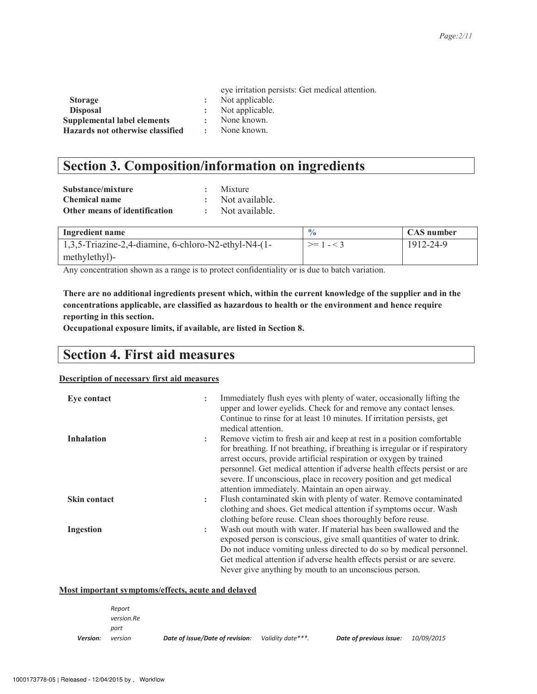|                                  | eye irritation persists: Get medical attention. |
|----------------------------------|-------------------------------------------------|
| <b>Storage</b>                   | Not applicable.                                 |
| <b>Disposal</b>                  | Not applicable.                                 |
| Supplemental label elements      | None known.                                     |
| Hazards not otherwise classified | None known.                                     |
|                                  |                                                 |

## **Section 3. Composition/information on ingredients**

| Substance/mixture             | Mixture        |
|-------------------------------|----------------|
| Chemical name                 | Not available. |
| Other means of identification | Not available. |

| Ingredient name                                              |            | <b>CAS</b> number |
|--------------------------------------------------------------|------------|-------------------|
| $\vert$ 1,3,5-Triazine-2,4-diamine, 6-chloro-N2-ethyl-N4-(1- | $>= 1 - 3$ | 1912-24-9         |
| methylethyl)-                                                |            |                   |

Any concentration shown as a range is to protect confidentiality or is due to batch variation.

**There are no additional ingredients present which, within the current knowledge of the supplier and in the concentrations applicable, are classified as hazardous to health or the environment and hence require reporting in this section.** 

**Occupational exposure limits, if available, are listed in Section 8.**

### **Section 4. First aid measures**

### **Description of necessary first aid measures**

| Eye contact         |   | Immediately flush eyes with plenty of water, occasionally lifting the<br>upper and lower eyelids. Check for and remove any contact lenses.<br>Continue to rinse for at least 10 minutes. If irritation persists, get<br>medical attention.                                                                                                                                                                                        |
|---------------------|---|-----------------------------------------------------------------------------------------------------------------------------------------------------------------------------------------------------------------------------------------------------------------------------------------------------------------------------------------------------------------------------------------------------------------------------------|
| <b>Inhalation</b>   |   | Remove victim to fresh air and keep at rest in a position comfortable<br>for breathing. If not breathing, if breathing is irregular or if respiratory<br>arrest occurs, provide artificial respiration or oxygen by trained<br>personnel. Get medical attention if adverse health effects persist or are<br>severe. If unconscious, place in recovery position and get medical<br>attention immediately. Maintain an open airway. |
| <b>Skin contact</b> | ÷ | Flush contaminated skin with plenty of water. Remove contaminated<br>clothing and shoes. Get medical attention if symptoms occur. Wash<br>clothing before reuse. Clean shoes thoroughly before reuse.                                                                                                                                                                                                                             |
| Ingestion           | ÷ | Wash out mouth with water. If material has been swallowed and the<br>exposed person is conscious, give small quantities of water to drink.<br>Do not induce vomiting unless directed to do so by medical personnel.<br>Get medical attention if adverse health effects persist or are severe.<br>Never give anything by mouth to an unconscious person.                                                                           |

#### **Most important symptoms/effects, acute and delayed**

|          | Report     |                                 |                   |                         |            |
|----------|------------|---------------------------------|-------------------|-------------------------|------------|
|          | version.Re |                                 |                   |                         |            |
|          | port       |                                 |                   |                         |            |
| Version: | version    | Date of issue/Date of revision: | Validity date***. | Date of previous issue: | 10/09/2015 |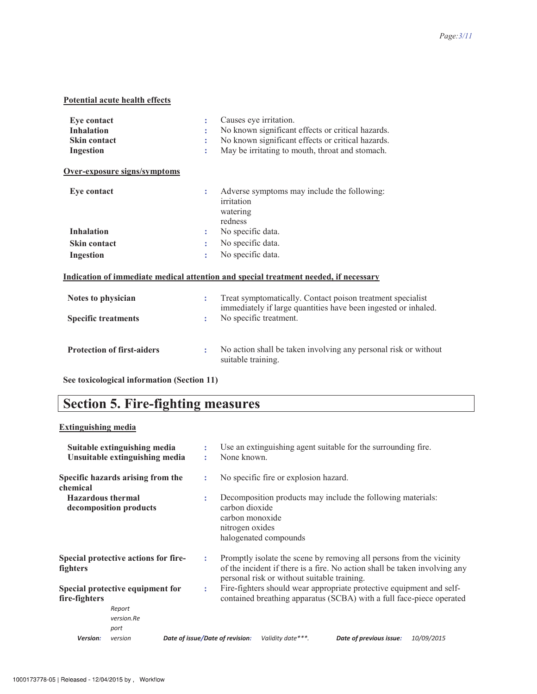### **Potential acute health effects**

| Eye contact                       | ÷ | Causes eye irritation.                                                                                                       |
|-----------------------------------|---|------------------------------------------------------------------------------------------------------------------------------|
| <b>Inhalation</b>                 | ÷ | No known significant effects or critical hazards.                                                                            |
| <b>Skin contact</b>               | ÷ | No known significant effects or critical hazards.                                                                            |
| Ingestion                         | ÷ | May be irritating to mouth, throat and stomach.                                                                              |
| Over-exposure signs/symptoms      |   |                                                                                                                              |
| Eye contact                       | ÷ | Adverse symptoms may include the following:<br>irritation<br>watering<br>redness                                             |
| <b>Inhalation</b>                 | ÷ | No specific data.                                                                                                            |
| <b>Skin contact</b>               | ÷ | No specific data.                                                                                                            |
| Ingestion                         | ÷ | No specific data.                                                                                                            |
|                                   |   | Indication of immediate medical attention and special treatment needed, if necessary                                         |
| Notes to physician                | ÷ | Treat symptomatically. Contact poison treatment specialist<br>immediately if large quantities have been ingested or inhaled. |
| <b>Specific treatments</b>        | ÷ | No specific treatment.                                                                                                       |
| <b>Protection of first-aiders</b> | ÷ | No action shall be taken involving any personal risk or without<br>suitable training.                                        |

**See toxicological information (Section 11)** 

# **Section 5. Fire-fighting measures**

### **Extinguishing media**

|                          | Suitable extinguishing media<br>Unsuitable extinguishing media | ÷                               | None known.                                          |                                       | Use an extinguishing agent suitable for the surrounding fire.                                                                                                                                     |            |
|--------------------------|----------------------------------------------------------------|---------------------------------|------------------------------------------------------|---------------------------------------|---------------------------------------------------------------------------------------------------------------------------------------------------------------------------------------------------|------------|
|                          |                                                                |                                 |                                                      |                                       |                                                                                                                                                                                                   |            |
| chemical                 | Specific hazards arising from the                              |                                 |                                                      | No specific fire or explosion hazard. |                                                                                                                                                                                                   |            |
| <b>Hazardous thermal</b> | decomposition products                                         |                                 | carbon dioxide<br>carbon monoxide<br>nitrogen oxides | halogenated compounds                 | Decomposition products may include the following materials:                                                                                                                                       |            |
| fighters                 | Special protective actions for fire-                           | ÷                               |                                                      |                                       | Promptly isolate the scene by removing all persons from the vicinity<br>of the incident if there is a fire. No action shall be taken involving any<br>personal risk or without suitable training. |            |
| fire-fighters            | Special protective equipment for                               | ÷                               |                                                      |                                       | Fire-fighters should wear appropriate protective equipment and self-<br>contained breathing apparatus (SCBA) with a full face-piece operated                                                      |            |
|                          | Report                                                         |                                 |                                                      |                                       |                                                                                                                                                                                                   |            |
|                          | version.Re                                                     |                                 |                                                      |                                       |                                                                                                                                                                                                   |            |
|                          | port                                                           |                                 |                                                      |                                       |                                                                                                                                                                                                   |            |
| Version:                 | version                                                        | Date of issue/Date of revision: |                                                      | Validity date***.                     | Date of previous issue:                                                                                                                                                                           | 10/09/2015 |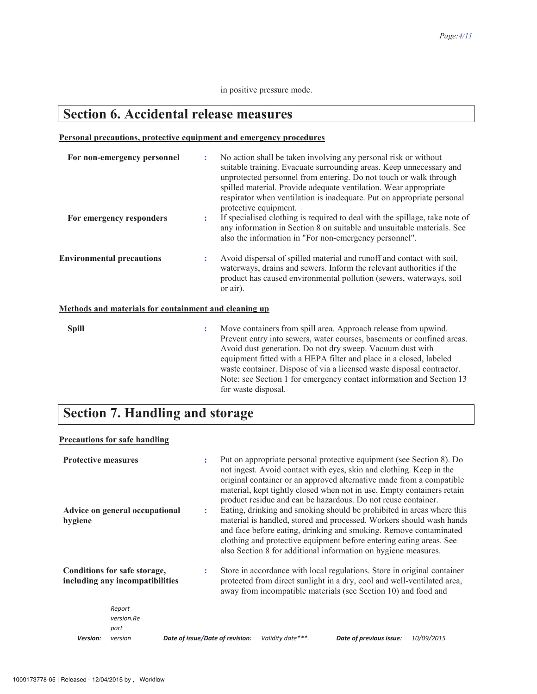in positive pressure mode.

### **Section 6. Accidental release measures**

### **Personal precautions, protective equipment and emergency procedures**

| For non-emergency personnel                           | ÷ | No action shall be taken involving any personal risk or without<br>suitable training. Evacuate surrounding areas. Keep unnecessary and<br>unprotected personnel from entering. Do not touch or walk through<br>spilled material. Provide adequate ventilation. Wear appropriate<br>respirator when ventilation is inadequate. Put on appropriate personal<br>protective equipment. |
|-------------------------------------------------------|---|------------------------------------------------------------------------------------------------------------------------------------------------------------------------------------------------------------------------------------------------------------------------------------------------------------------------------------------------------------------------------------|
| For emergency responders                              | ÷ | If specialised clothing is required to deal with the spillage, take note of<br>any information in Section 8 on suitable and unsuitable materials. See<br>also the information in "For non-emergency personnel".                                                                                                                                                                    |
| <b>Environmental precautions</b>                      | ÷ | Avoid dispersal of spilled material and runoff and contact with soil,<br>waterways, drains and sewers. Inform the relevant authorities if the<br>product has caused environmental pollution (sewers, waterways, soil<br>or air).                                                                                                                                                   |
| Methods and materials for containment and cleaning up |   |                                                                                                                                                                                                                                                                                                                                                                                    |
| <b>Spill</b>                                          | ÷ | Move containers from spill area. Approach release from upwind.<br>Prevent entry into sewers, water courses, basements or confined areas.<br>Avoid dust generation. Do not dry sweep. Vacuum dust with<br>equipment fitted with a HEPA filter and place in a closed, labeled<br>waste container. Dispose of via a licensed waste disposal contractor.                               |

for waste disposal.

Note: see Section 1 for emergency contact information and Section 13

# **Section 7. Handling and storage**

### **Precautions for safe handling**

| <b>Protective measures</b><br>hygiene | Advice on general occupational                                  | ÷<br>÷ | Put on appropriate personal protective equipment (see Section 8). Do<br>not ingest. Avoid contact with eyes, skin and clothing. Keep in the<br>original container or an approved alternative made from a compatible<br>material, kept tightly closed when not in use. Empty containers retain<br>product residue and can be hazardous. Do not reuse container.<br>Eating, drinking and smoking should be prohibited in areas where this<br>material is handled, stored and processed. Workers should wash hands<br>and face before eating, drinking and smoking. Remove contaminated<br>clothing and protective equipment before entering eating areas. See<br>also Section 8 for additional information on hygiene measures. |                   |                                                                                                                                                                                                                      |            |
|---------------------------------------|-----------------------------------------------------------------|--------|-------------------------------------------------------------------------------------------------------------------------------------------------------------------------------------------------------------------------------------------------------------------------------------------------------------------------------------------------------------------------------------------------------------------------------------------------------------------------------------------------------------------------------------------------------------------------------------------------------------------------------------------------------------------------------------------------------------------------------|-------------------|----------------------------------------------------------------------------------------------------------------------------------------------------------------------------------------------------------------------|------------|
|                                       | Conditions for safe storage,<br>including any incompatibilities | ÷      |                                                                                                                                                                                                                                                                                                                                                                                                                                                                                                                                                                                                                                                                                                                               |                   | Store in accordance with local regulations. Store in original container<br>protected from direct sunlight in a dry, cool and well-ventilated area,<br>away from incompatible materials (see Section 10) and food and |            |
| Version:                              | Report<br>version.Re<br>port<br>version                         |        | Date of issue/Date of revision:                                                                                                                                                                                                                                                                                                                                                                                                                                                                                                                                                                                                                                                                                               | Validity date***. | Date of previous issue:                                                                                                                                                                                              | 10/09/2015 |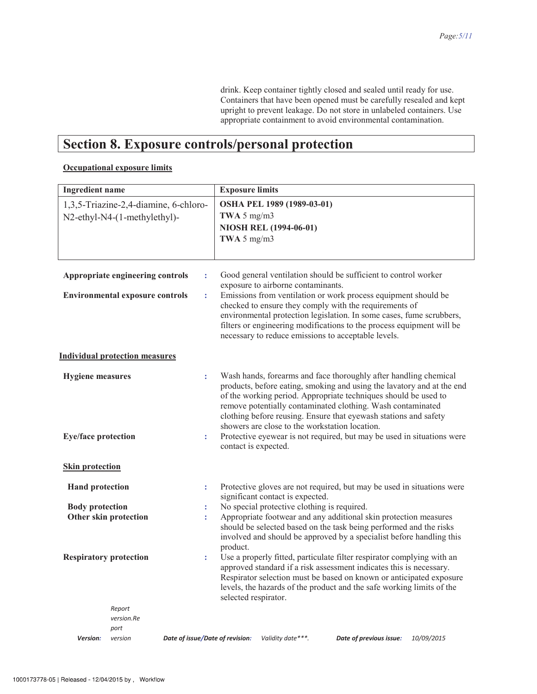drink. Keep container tightly closed and sealed until ready for use. Containers that have been opened must be carefully resealed and kept upright to prevent leakage. Do not store in unlabeled containers. Use appropriate containment to avoid environmental contamination.

## **Section 8. Exposure controls/personal protection**

#### **Occupational exposure limits**

| <b>Ingredient name</b>                                                | <b>Exposure limits</b>                                                                                                                                                                                                                                                                                                                           |
|-----------------------------------------------------------------------|--------------------------------------------------------------------------------------------------------------------------------------------------------------------------------------------------------------------------------------------------------------------------------------------------------------------------------------------------|
| 1,3,5-Triazine-2,4-diamine, 6-chloro-<br>N2-ethyl-N4-(1-methylethyl)- | OSHA PEL 1989 (1989-03-01)<br>TWA $5$ mg/m $3$<br>NIOSH REL (1994-06-01)<br>TWA 5 mg/m3                                                                                                                                                                                                                                                          |
| Appropriate engineering controls<br>÷                                 | Good general ventilation should be sufficient to control worker<br>exposure to airborne contaminants.                                                                                                                                                                                                                                            |
| <b>Environmental exposure controls</b><br>÷                           | Emissions from ventilation or work process equipment should be<br>checked to ensure they comply with the requirements of<br>environmental protection legislation. In some cases, fume scrubbers,<br>filters or engineering modifications to the process equipment will be<br>necessary to reduce emissions to acceptable levels.                 |
| <b>Individual protection measures</b>                                 |                                                                                                                                                                                                                                                                                                                                                  |
| <b>Hygiene</b> measures<br>÷.                                         | Wash hands, forearms and face thoroughly after handling chemical<br>products, before eating, smoking and using the lavatory and at the end<br>of the working period. Appropriate techniques should be used to<br>remove potentially contaminated clothing. Wash contaminated<br>clothing before reusing. Ensure that eyewash stations and safety |
| <b>Eye/face protection</b><br>÷.                                      | showers are close to the workstation location.<br>Protective eyewear is not required, but may be used in situations were<br>contact is expected.                                                                                                                                                                                                 |
| <b>Skin protection</b>                                                |                                                                                                                                                                                                                                                                                                                                                  |
| <b>Hand protection</b><br>÷                                           | Protective gloves are not required, but may be used in situations were<br>significant contact is expected.                                                                                                                                                                                                                                       |
| <b>Body protection</b><br>÷<br>Other skin protection<br>t             | No special protective clothing is required.<br>Appropriate footwear and any additional skin protection measures<br>should be selected based on the task being performed and the risks<br>involved and should be approved by a specialist before handling this<br>product.                                                                        |
| <b>Respiratory protection</b><br>÷                                    | Use a properly fitted, particulate filter respirator complying with an<br>approved standard if a risk assessment indicates this is necessary.<br>Respirator selection must be based on known or anticipated exposure<br>levels, the hazards of the product and the safe working limits of the<br>selected respirator.                            |
| Report<br>version.Re<br>port                                          |                                                                                                                                                                                                                                                                                                                                                  |
| Date of issue/Date of revision:<br>Version:<br>version                | Validity date***.<br>Date of previous issue:<br>10/09/2015                                                                                                                                                                                                                                                                                       |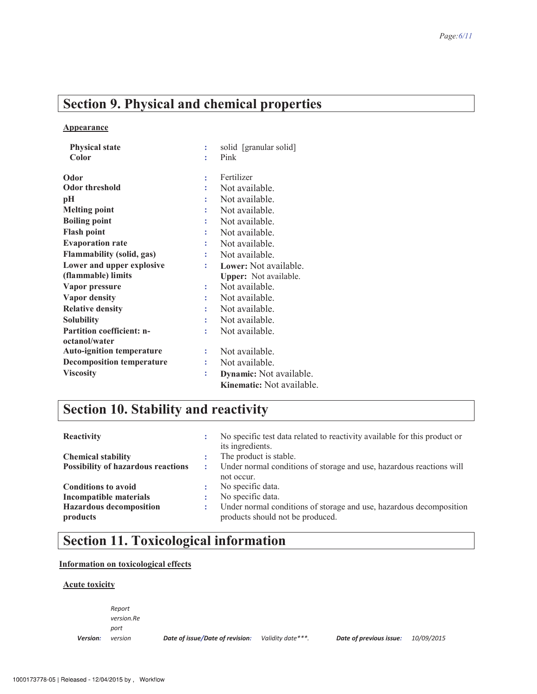# **Section 9. Physical and chemical properties**

#### **Appearance**

| <b>Physical state</b>            |   | solid [granular solid]         |
|----------------------------------|---|--------------------------------|
| Color                            |   | Pink                           |
| Odor                             | ÷ | Fertilizer                     |
| <b>Odor threshold</b>            |   | Not available.                 |
| pН                               |   | Not available.                 |
| <b>Melting point</b>             |   | Not available.                 |
| <b>Boiling point</b>             |   | Not available.                 |
| <b>Flash point</b>               |   | Not available.                 |
| <b>Evaporation rate</b>          |   | Not available.                 |
| <b>Flammability (solid, gas)</b> | t | Not available.                 |
| Lower and upper explosive        | ÷ | Lower: Not available.          |
| (flammable) limits               |   | <b>Upper:</b> Not available.   |
| Vapor pressure                   | ÷ | Not available.                 |
| Vapor density                    |   | Not available.                 |
| <b>Relative density</b>          |   | Not available.                 |
| <b>Solubility</b>                |   | Not available.                 |
| <b>Partition coefficient: n-</b> | ÷ | Not available.                 |
| octanol/water                    |   |                                |
| <b>Auto-ignition temperature</b> | ÷ | Not available.                 |
| <b>Decomposition temperature</b> | ÷ | Not available.                 |
| <b>Viscosity</b>                 | t | <b>Dynamic:</b> Not available. |
|                                  |   | Kinematic: Not available.      |

# **Section 10. Stability and reactivity**

| <b>Reactivity</b>                         | ÷ | No specific test data related to reactivity available for this product or<br>its ingredients. |
|-------------------------------------------|---|-----------------------------------------------------------------------------------------------|
| <b>Chemical stability</b>                 |   | The product is stable.                                                                        |
| <b>Possibility of hazardous reactions</b> | ÷ | Under normal conditions of storage and use, hazardous reactions will                          |
|                                           |   | not occur.                                                                                    |
| <b>Conditions to avoid</b>                | ÷ | No specific data.                                                                             |
| Incompatible materials                    | ÷ | No specific data.                                                                             |
| <b>Hazardous decomposition</b>            | ÷ | Under normal conditions of storage and use, hazardous decomposition                           |
| products                                  |   | products should not be produced.                                                              |

## **Section 11. Toxicological information**

### **Information on toxicological effects**

#### **Acute toxicity**

**Version:** version  $Report$  $version$ *Re* port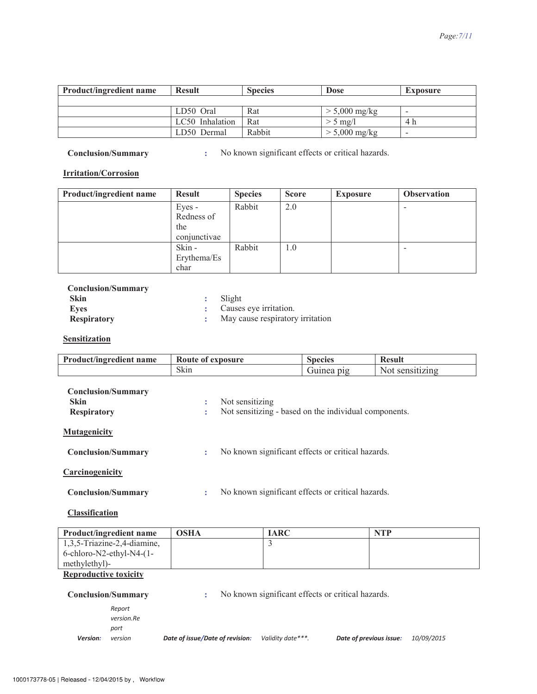| Product/ingredient name | <b>Result</b>   | <b>Species</b> | <b>Dose</b>             | <b>Exposure</b>          |
|-------------------------|-----------------|----------------|-------------------------|--------------------------|
|                         |                 |                |                         |                          |
|                         | LD50 Oral       | Rat            | $> 5,000 \text{ mg/kg}$ | $\overline{\phantom{a}}$ |
|                         | LC50 Inhalation | Rat            | $> 5$ mg/l              | 4 h                      |
|                         | LD50 Dermal     | Rabbit         | $> 5,000$ mg/kg         | $\overline{\phantom{a}}$ |

 **Conclusion/Summary :** No known significant effects or critical hazards.

### **Irritation/Corrosion**

| Product/ingredient name | <b>Result</b> | <b>Species</b> | <b>Score</b> | <b>Exposure</b> | <b>Observation</b> |
|-------------------------|---------------|----------------|--------------|-----------------|--------------------|
|                         | Eyes -        | Rabbit         | 2.0          |                 |                    |
|                         | Redness of    |                |              |                 |                    |
|                         | the           |                |              |                 |                    |
|                         | conjunctivae  |                |              |                 |                    |
|                         | Skin-         | Rabbit         | 1.0          |                 |                    |
|                         | Erythema/Es   |                |              |                 |                    |
|                         | char          |                |              |                 |                    |

| <b>Conclusion/Summary</b> |                                  |
|---------------------------|----------------------------------|
| Skin                      | Slight                           |
| Eves                      | Causes eye irritation.           |
| <b>Respiratory</b>        | May cause respiratory irritation |

**Sensitization**

| Product/ingredient name | Route of exposure | <b>Species</b> | <b>Result</b>   |
|-------------------------|-------------------|----------------|-----------------|
|                         | Skin              | Guinea pig     | Not sensitizing |
| Conclusion/Summary      |                   |                |                 |

| Not sensitizing - based on the individual components. |
|-------------------------------------------------------|
|                                                       |
|                                                       |
|                                                       |
|                                                       |
|                                                       |

 **Classification**

| Product/ingredient name        |            | <b>OSHA</b>                     | <b>IARC</b>                                       | <b>NTP</b>                            |
|--------------------------------|------------|---------------------------------|---------------------------------------------------|---------------------------------------|
| 1,3,5-Triazine-2,4-diamine,    |            |                                 | 3                                                 |                                       |
| $6$ -chloro-N2-ethyl-N4- $(1-$ |            |                                 |                                                   |                                       |
| methylethyl)-                  |            |                                 |                                                   |                                       |
| <b>Reproductive toxicity</b>   |            |                                 |                                                   |                                       |
| <b>Conclusion/Summary</b>      |            | ٠                               | No known significant effects or critical hazards. |                                       |
|                                | Report     |                                 |                                                   |                                       |
|                                | version.Re |                                 |                                                   |                                       |
| port                           |            |                                 |                                                   |                                       |
| Version:                       | version    | Date of issue/Date of revision: | Validity date***.                                 | 10/09/2015<br>Date of previous issue: |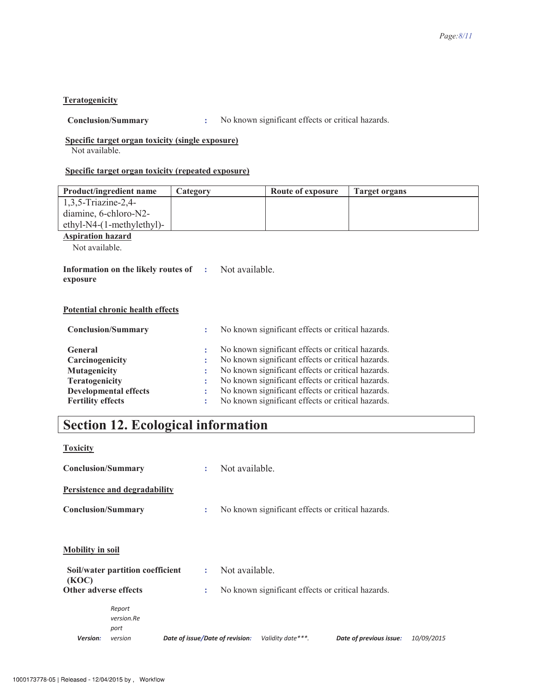#### **Teratogenicity**

 **Conclusion/Summary :** No known significant effects or critical hazards.

### **Specific target organ toxicity (single exposure)**

Not available.

#### **Specific target organ toxicity (repeated exposure)**

| Product/ingredient name                   | Category                                               | Route of exposure                                 | <b>Target organs</b> |  |  |  |
|-------------------------------------------|--------------------------------------------------------|---------------------------------------------------|----------------------|--|--|--|
| 1,3,5-Triazine-2,4-                       |                                                        |                                                   |                      |  |  |  |
| diamine, 6-chloro-N2-                     |                                                        |                                                   |                      |  |  |  |
| ethyl-N4-(1-methylethyl)-                 |                                                        |                                                   |                      |  |  |  |
| <b>Aspiration hazard</b>                  |                                                        |                                                   |                      |  |  |  |
| Not available.                            |                                                        |                                                   |                      |  |  |  |
|                                           |                                                        |                                                   |                      |  |  |  |
| Information on the likely routes of       | ÷                                                      | Not available.                                    |                      |  |  |  |
| exposure                                  |                                                        |                                                   |                      |  |  |  |
|                                           |                                                        |                                                   |                      |  |  |  |
|                                           |                                                        |                                                   |                      |  |  |  |
| Potential chronic health effects          |                                                        |                                                   |                      |  |  |  |
| <b>Conclusion/Summary</b>                 | ÷                                                      | No known significant effects or critical hazards. |                      |  |  |  |
|                                           |                                                        |                                                   |                      |  |  |  |
| General                                   | ř                                                      | No known significant effects or critical hazards. |                      |  |  |  |
| Carcinogenicity                           |                                                        | No known significant effects or critical hazards. |                      |  |  |  |
| Mutagenicity                              |                                                        | No known significant effects or critical hazards. |                      |  |  |  |
| Teratogenicity                            |                                                        | No known significant effects or critical hazards. |                      |  |  |  |
| <b>Developmental effects</b>              |                                                        | No known significant effects or critical hazards. |                      |  |  |  |
| <b>Fertility effects</b>                  | ÷                                                      | No known significant effects or critical hazards. |                      |  |  |  |
|                                           |                                                        |                                                   |                      |  |  |  |
| <b>Section 12. Ecological information</b> |                                                        |                                                   |                      |  |  |  |
|                                           |                                                        |                                                   |                      |  |  |  |
| <b>Toxicity</b>                           |                                                        |                                                   |                      |  |  |  |
|                                           |                                                        |                                                   |                      |  |  |  |
| <b>Conclusion/Summary</b>                 | ÷                                                      | Not available.                                    |                      |  |  |  |
|                                           |                                                        |                                                   |                      |  |  |  |
| Persistence and degradability             |                                                        |                                                   |                      |  |  |  |
| <b>Conclusion/Summary</b>                 | No known significant effects or critical hazards.<br>÷ |                                                   |                      |  |  |  |
|                                           |                                                        |                                                   |                      |  |  |  |
|                                           |                                                        |                                                   |                      |  |  |  |
|                                           |                                                        |                                                   |                      |  |  |  |
| <b>Mobility</b> in soil                   |                                                        |                                                   |                      |  |  |  |
|                                           |                                                        |                                                   |                      |  |  |  |
| Soil/water partition coefficient          | ÷                                                      | Not available.                                    |                      |  |  |  |
| (KOC)<br>Other adverse effects            |                                                        | No known significant effects or critical hazards. |                      |  |  |  |
|                                           |                                                        |                                                   |                      |  |  |  |

**Version:** version  $Report$  $version$ *Re* port *Date of issue/Date of revision:* Validity date<sup>\*\*\*</sup>. Date of previous issue: 10/09/2015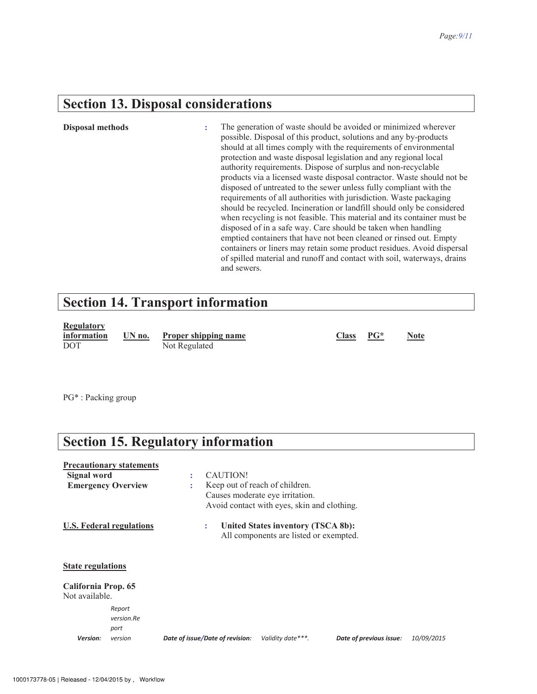# **Section 13. Disposal considerations**

| <b>Disposal methods</b> | The generation of waste should be avoided or minimized wherever<br>possible. Disposal of this product, solutions and any by-products<br>should at all times comply with the requirements of environmental<br>protection and waste disposal legislation and any regional local<br>authority requirements. Dispose of surplus and non-recyclable<br>products via a licensed waste disposal contractor. Waste should not be<br>disposed of untreated to the sewer unless fully compliant with the<br>requirements of all authorities with jurisdiction. Waste packaging<br>should be recycled. Incineration or landfill should only be considered<br>when recycling is not feasible. This material and its container must be<br>disposed of in a safe way. Care should be taken when handling<br>emptied containers that have not been cleaned or rinsed out. Empty<br>containers or liners may retain some product residues. Avoid dispersal<br>of spilled material and runoff and contact with soil, waterways, drains |
|-------------------------|-----------------------------------------------------------------------------------------------------------------------------------------------------------------------------------------------------------------------------------------------------------------------------------------------------------------------------------------------------------------------------------------------------------------------------------------------------------------------------------------------------------------------------------------------------------------------------------------------------------------------------------------------------------------------------------------------------------------------------------------------------------------------------------------------------------------------------------------------------------------------------------------------------------------------------------------------------------------------------------------------------------------------|
|                         | and sewers.                                                                                                                                                                                                                                                                                                                                                                                                                                                                                                                                                                                                                                                                                                                                                                                                                                                                                                                                                                                                           |

# **Section 14. Transport information**

**Regulatory** 

**<u>Information</u> UN no. Proper shipping name Class PG<sup>\*</sup> Note DOT** Not Regulated

PG\* : Packing group

# **Section 15. Regulatory information**

| Signal word                           | <b>Precautionary statements</b><br><b>Emergency Overview</b> | CAUTION!<br>÷<br>٠              | Keep out of reach of children.<br>Causes moderate eye irritation.<br>Avoid contact with eyes, skin and clothing. |                         |            |
|---------------------------------------|--------------------------------------------------------------|---------------------------------|------------------------------------------------------------------------------------------------------------------|-------------------------|------------|
|                                       | <b>U.S. Federal regulations</b>                              | ÷                               | United States inventory (TSCA 8b):<br>All components are listed or exempted.                                     |                         |            |
| <b>State regulations</b>              |                                                              |                                 |                                                                                                                  |                         |            |
| California Prop. 65<br>Not available. |                                                              |                                 |                                                                                                                  |                         |            |
|                                       | Report<br>version.Re<br>port                                 |                                 |                                                                                                                  |                         |            |
| Version:                              | version                                                      | Date of issue/Date of revision: | Validity date***.                                                                                                | Date of previous issue: | 10/09/2015 |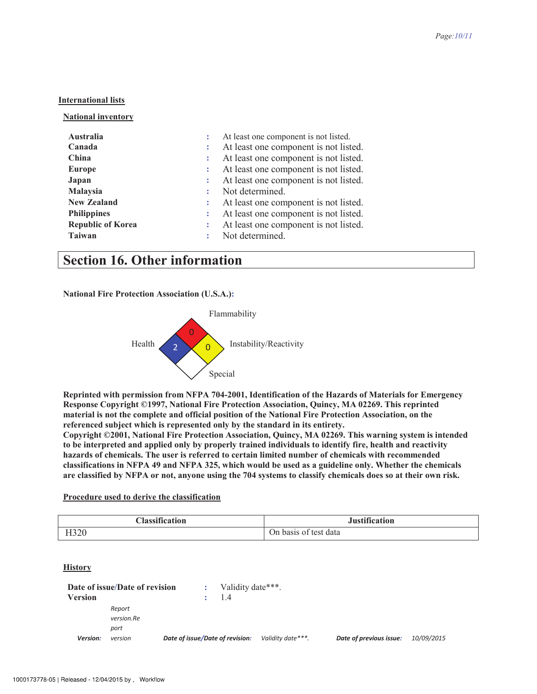#### **International lists**

| <b>National inventory</b> |   |                                       |
|---------------------------|---|---------------------------------------|
| <b>Australia</b>          |   | At least one component is not listed. |
| Canada                    |   | At least one component is not listed. |
| China                     |   | At least one component is not listed. |
| Europe                    |   | At least one component is not listed. |
| Japan                     |   | At least one component is not listed. |
| <b>Malaysia</b>           | ÷ | Not determined.                       |
| <b>New Zealand</b>        |   | At least one component is not listed. |
| <b>Philippines</b>        |   | At least one component is not listed. |

**Taiwan :** Not determined.

### **Section 16. Other information**

**National Fire Protection Association (U.S.A.):** 



**Republic of Korea :** At least one component is not listed.

**Reprinted with permission from NFPA 704-2001, Identification of the Hazards of Materials for Emergency Response Copyright ©1997, National Fire Protection Association, Quincy, MA 02269. This reprinted material is not the complete and official position of the National Fire Protection Association, on the referenced subject which is represented only by the standard in its entirety. Copyright ©2001, National Fire Protection Association, Quincy, MA 02269. This warning system is intended** 

**to be interpreted and applied only by properly trained individuals to identify fire, health and reactivity hazards of chemicals. The user is referred to certain limited number of chemicals with recommended classifications in NFPA 49 and NFPA 325, which would be used as a guideline only. Whether the chemicals are classified by NFPA or not, anyone using the 704 systems to classify chemicals does so at their own risk.** 

#### **Procedure used to derive the classification**

| <b>Classification</b> | Justification              |  |
|-----------------------|----------------------------|--|
| 1170 A                | test data<br>On basis of 1 |  |

#### **History**

| <b>Version</b> | Date of issue/Date of revision | ÷                               | Validity date***.<br>1.4 |                   |                         |            |
|----------------|--------------------------------|---------------------------------|--------------------------|-------------------|-------------------------|------------|
|                | Report<br>version.Re<br>port   |                                 |                          |                   |                         |            |
| Version:       | version                        | Date of issue/Date of revision: |                          | Validity date***. | Date of previous issue: | 10/09/2015 |